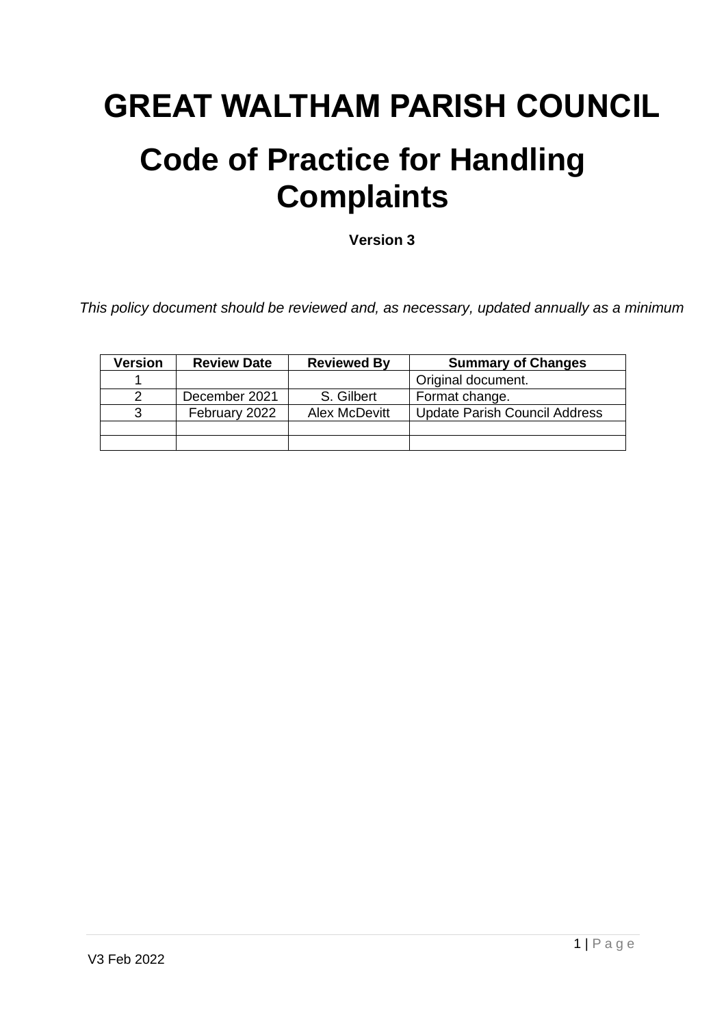# **GREAT WALTHAM PARISH COUNCIL**

## **Code of Practice for Handling Complaints**

**Version 3**

*This policy document should be reviewed and, as necessary, updated annually as a minimum*

| <b>Version</b> | <b>Review Date</b> | <b>Reviewed By</b> | <b>Summary of Changes</b>            |
|----------------|--------------------|--------------------|--------------------------------------|
|                |                    |                    | Original document.                   |
|                | December 2021      | S. Gilbert         | Format change.                       |
|                | February 2022      | Alex McDevitt      | <b>Update Parish Council Address</b> |
|                |                    |                    |                                      |
|                |                    |                    |                                      |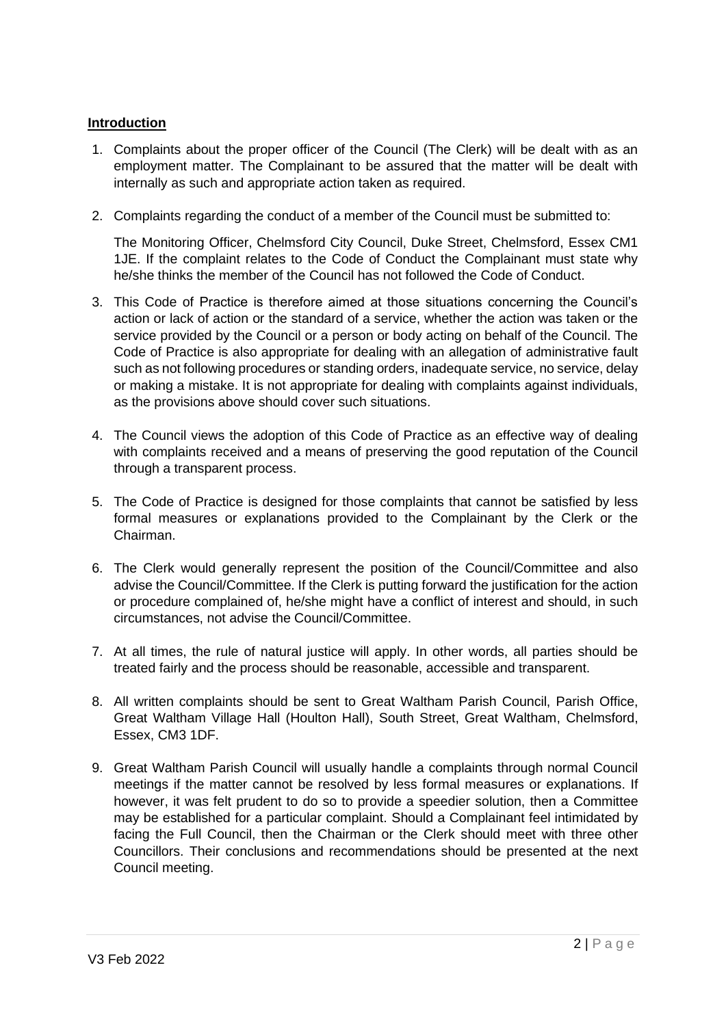## **Introduction**

- 1. Complaints about the proper officer of the Council (The Clerk) will be dealt with as an employment matter. The Complainant to be assured that the matter will be dealt with internally as such and appropriate action taken as required.
- 2. Complaints regarding the conduct of a member of the Council must be submitted to:

The Monitoring Officer, Chelmsford City Council, Duke Street, Chelmsford, Essex CM1 1JE. If the complaint relates to the Code of Conduct the Complainant must state why he/she thinks the member of the Council has not followed the Code of Conduct.

- 3. This Code of Practice is therefore aimed at those situations concerning the Council's action or lack of action or the standard of a service, whether the action was taken or the service provided by the Council or a person or body acting on behalf of the Council. The Code of Practice is also appropriate for dealing with an allegation of administrative fault such as not following procedures or standing orders, inadequate service, no service, delay or making a mistake. It is not appropriate for dealing with complaints against individuals, as the provisions above should cover such situations.
- 4. The Council views the adoption of this Code of Practice as an effective way of dealing with complaints received and a means of preserving the good reputation of the Council through a transparent process.
- 5. The Code of Practice is designed for those complaints that cannot be satisfied by less formal measures or explanations provided to the Complainant by the Clerk or the Chairman.
- 6. The Clerk would generally represent the position of the Council/Committee and also advise the Council/Committee. If the Clerk is putting forward the justification for the action or procedure complained of, he/she might have a conflict of interest and should, in such circumstances, not advise the Council/Committee.
- 7. At all times, the rule of natural justice will apply. In other words, all parties should be treated fairly and the process should be reasonable, accessible and transparent.
- 8. All written complaints should be sent to Great Waltham Parish Council, Parish Office, Great Waltham Village Hall (Houlton Hall), South Street, Great Waltham, Chelmsford, Essex, CM3 1DF.
- 9. Great Waltham Parish Council will usually handle a complaints through normal Council meetings if the matter cannot be resolved by less formal measures or explanations. If however, it was felt prudent to do so to provide a speedier solution, then a Committee may be established for a particular complaint. Should a Complainant feel intimidated by facing the Full Council, then the Chairman or the Clerk should meet with three other Councillors. Their conclusions and recommendations should be presented at the next Council meeting.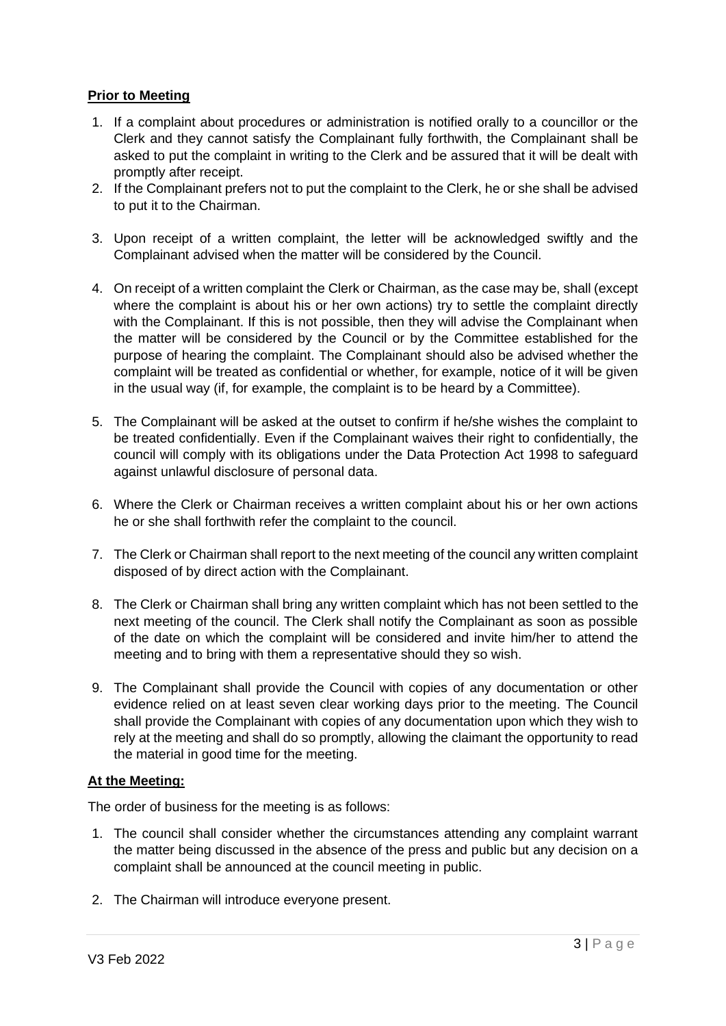## **Prior to Meeting**

- 1. If a complaint about procedures or administration is notified orally to a councillor or the Clerk and they cannot satisfy the Complainant fully forthwith, the Complainant shall be asked to put the complaint in writing to the Clerk and be assured that it will be dealt with promptly after receipt.
- 2. If the Complainant prefers not to put the complaint to the Clerk, he or she shall be advised to put it to the Chairman.
- 3. Upon receipt of a written complaint, the letter will be acknowledged swiftly and the Complainant advised when the matter will be considered by the Council.
- 4. On receipt of a written complaint the Clerk or Chairman, as the case may be, shall (except where the complaint is about his or her own actions) try to settle the complaint directly with the Complainant. If this is not possible, then they will advise the Complainant when the matter will be considered by the Council or by the Committee established for the purpose of hearing the complaint. The Complainant should also be advised whether the complaint will be treated as confidential or whether, for example, notice of it will be given in the usual way (if, for example, the complaint is to be heard by a Committee).
- 5. The Complainant will be asked at the outset to confirm if he/she wishes the complaint to be treated confidentially. Even if the Complainant waives their right to confidentially, the council will comply with its obligations under the Data Protection Act 1998 to safeguard against unlawful disclosure of personal data.
- 6. Where the Clerk or Chairman receives a written complaint about his or her own actions he or she shall forthwith refer the complaint to the council.
- 7. The Clerk or Chairman shall report to the next meeting of the council any written complaint disposed of by direct action with the Complainant.
- 8. The Clerk or Chairman shall bring any written complaint which has not been settled to the next meeting of the council. The Clerk shall notify the Complainant as soon as possible of the date on which the complaint will be considered and invite him/her to attend the meeting and to bring with them a representative should they so wish.
- 9. The Complainant shall provide the Council with copies of any documentation or other evidence relied on at least seven clear working days prior to the meeting. The Council shall provide the Complainant with copies of any documentation upon which they wish to rely at the meeting and shall do so promptly, allowing the claimant the opportunity to read the material in good time for the meeting.

#### **At the Meeting:**

The order of business for the meeting is as follows:

- 1. The council shall consider whether the circumstances attending any complaint warrant the matter being discussed in the absence of the press and public but any decision on a complaint shall be announced at the council meeting in public.
- 2. The Chairman will introduce everyone present.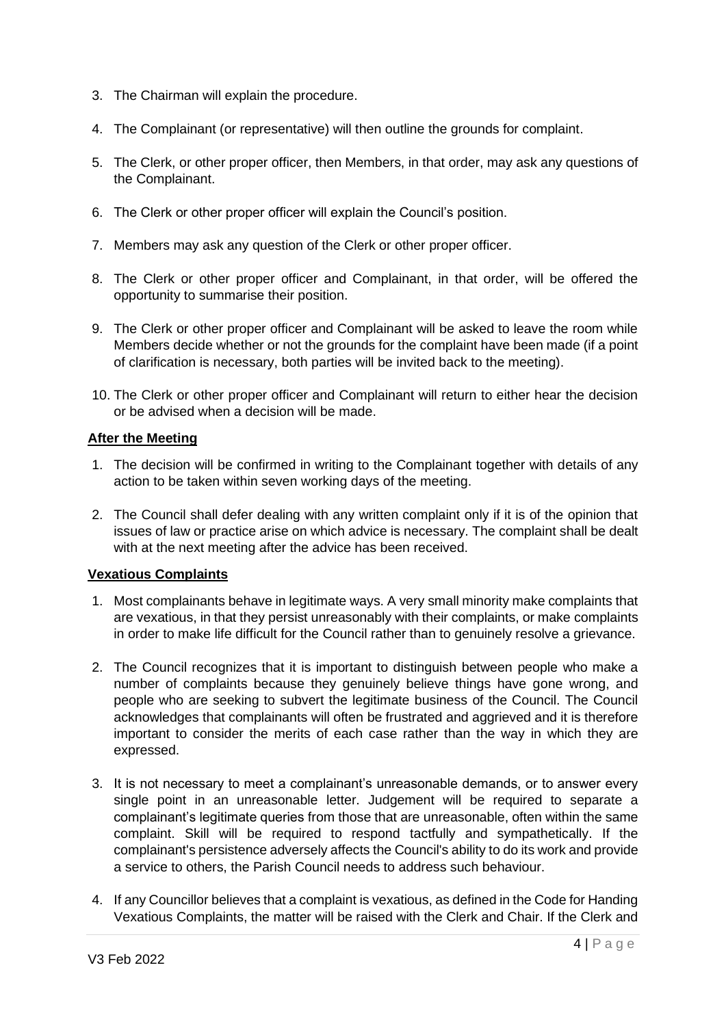- 3. The Chairman will explain the procedure.
- 4. The Complainant (or representative) will then outline the grounds for complaint.
- 5. The Clerk, or other proper officer, then Members, in that order, may ask any questions of the Complainant.
- 6. The Clerk or other proper officer will explain the Council's position.
- 7. Members may ask any question of the Clerk or other proper officer.
- 8. The Clerk or other proper officer and Complainant, in that order, will be offered the opportunity to summarise their position.
- 9. The Clerk or other proper officer and Complainant will be asked to leave the room while Members decide whether or not the grounds for the complaint have been made (if a point of clarification is necessary, both parties will be invited back to the meeting).
- 10. The Clerk or other proper officer and Complainant will return to either hear the decision or be advised when a decision will be made.

#### **After the Meeting**

- 1. The decision will be confirmed in writing to the Complainant together with details of any action to be taken within seven working days of the meeting.
- 2. The Council shall defer dealing with any written complaint only if it is of the opinion that issues of law or practice arise on which advice is necessary. The complaint shall be dealt with at the next meeting after the advice has been received.

#### **Vexatious Complaints**

- 1. Most complainants behave in legitimate ways. A very small minority make complaints that are vexatious, in that they persist unreasonably with their complaints, or make complaints in order to make life difficult for the Council rather than to genuinely resolve a grievance.
- 2. The Council recognizes that it is important to distinguish between people who make a number of complaints because they genuinely believe things have gone wrong, and people who are seeking to subvert the legitimate business of the Council. The Council acknowledges that complainants will often be frustrated and aggrieved and it is therefore important to consider the merits of each case rather than the way in which they are expressed.
- 3. It is not necessary to meet a complainant's unreasonable demands, or to answer every single point in an unreasonable letter. Judgement will be required to separate a complainant's legitimate queries from those that are unreasonable, often within the same complaint. Skill will be required to respond tactfully and sympathetically. If the complainant's persistence adversely affects the Council's ability to do its work and provide a service to others, the Parish Council needs to address such behaviour.
- 4. If any Councillor believes that a complaint is vexatious, as defined in the Code for Handing Vexatious Complaints, the matter will be raised with the Clerk and Chair. If the Clerk and